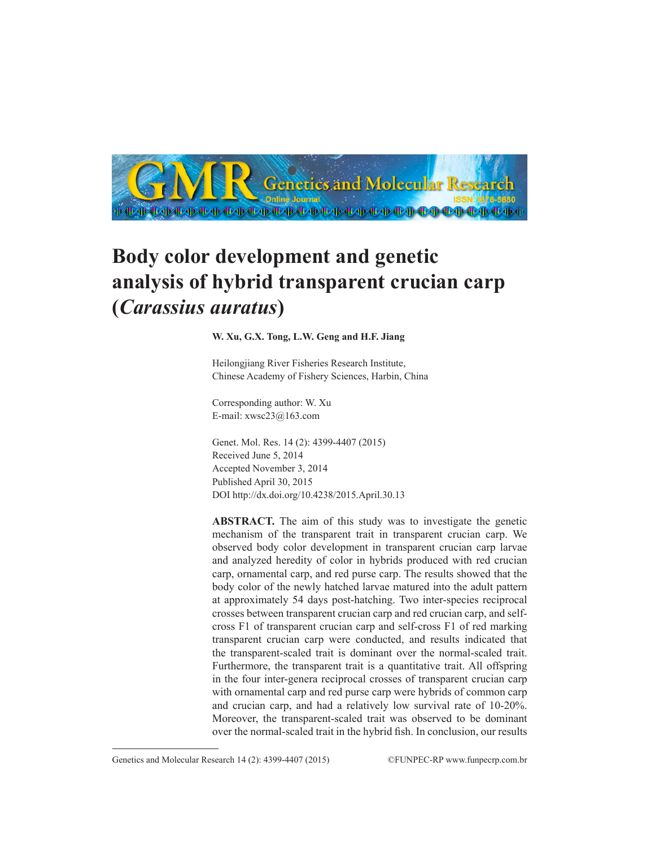

# **Body color development and genetic analysis of hybrid transparent crucian carp (***Carassius auratus***)**

## **W. Xu, G.X. Tong, L.W. Geng and H.F. Jiang**

Heilongjiang River Fisheries Research Institute, Chinese Academy of Fishery Sciences, Harbin, China

Corresponding author: W. Xu E-mail: xwsc23@163.com

Genet. Mol. Res. 14 (2): 4399-4407 (2015) Received June 5, 2014 Accepted November 3, 2014 Published April 30, 2015 DOI http://dx.doi.org/10.4238/2015.April.30.13

**ABSTRACT.** The aim of this study was to investigate the genetic mechanism of the transparent trait in transparent crucian carp. We observed body color development in transparent crucian carp larvae and analyzed heredity of color in hybrids produced with red crucian carp, ornamental carp, and red purse carp. The results showed that the body color of the newly hatched larvae matured into the adult pattern at approximately 54 days post-hatching. Two inter-species reciprocal crosses between transparent crucian carp and red crucian carp, and selfcross F1 of transparent crucian carp and self-cross F1 of red marking transparent crucian carp were conducted, and results indicated that the transparent-scaled trait is dominant over the normal-scaled trait. Furthermore, the transparent trait is a quantitative trait. All offspring in the four inter-genera reciprocal crosses of transparent crucian carp with ornamental carp and red purse carp were hybrids of common carp and crucian carp, and had a relatively low survival rate of 10-20%. Moreover, the transparent-scaled trait was observed to be dominant over the normal-scaled trait in the hybrid fish. In conclusion, our results

Genetics and Molecular Research 14 (2): 4399-4407 (2015) ©FUNPEC-RP www.funpecrp.com.br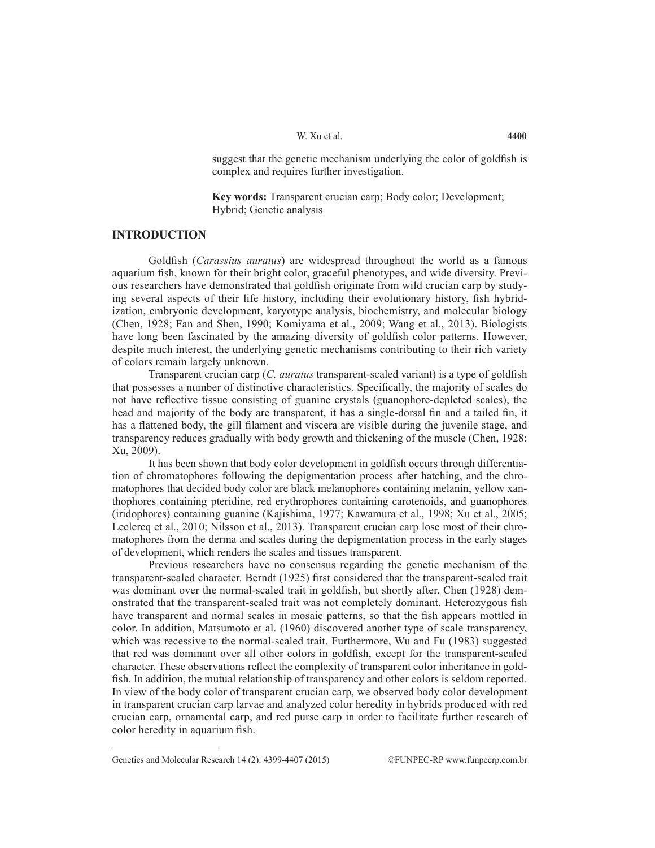suggest that the genetic mechanism underlying the color of goldfish is complex and requires further investigation.

**Key words:** Transparent crucian carp; Body color; Development; Hybrid; Genetic analysis

### **INTRODUCTION**

Goldfish (*Carassius auratus*) are widespread throughout the world as a famous aquarium fish, known for their bright color, graceful phenotypes, and wide diversity. Previous researchers have demonstrated that goldfish originate from wild crucian carp by studying several aspects of their life history, including their evolutionary history, fish hybridization, embryonic development, karyotype analysis, biochemistry, and molecular biology (Chen, 1928; Fan and Shen, 1990; Komiyama et al., 2009; Wang et al., 2013). Biologists have long been fascinated by the amazing diversity of goldfish color patterns. However, despite much interest, the underlying genetic mechanisms contributing to their rich variety of colors remain largely unknown.

Transparent crucian carp (*C. auratus* transparent-scaled variant) is a type of goldfish that possesses a number of distinctive characteristics. Specifically, the majority of scales do not have reflective tissue consisting of guanine crystals (guanophore-depleted scales), the head and majority of the body are transparent, it has a single-dorsal fin and a tailed fin, it has a flattened body, the gill filament and viscera are visible during the juvenile stage, and transparency reduces gradually with body growth and thickening of the muscle (Chen, 1928; Xu, 2009).

It has been shown that body color development in goldfish occurs through differentiation of chromatophores following the depigmentation process after hatching, and the chromatophores that decided body color are black melanophores containing melanin, yellow xanthophores containing pteridine, red erythrophores containing carotenoids, and guanophores (iridophores) containing guanine (Kajishima, 1977; Kawamura et al., 1998; Xu et al., 2005; Leclercq et al., 2010; Nilsson et al., 2013). Transparent crucian carp lose most of their chromatophores from the derma and scales during the depigmentation process in the early stages of development, which renders the scales and tissues transparent.

Previous researchers have no consensus regarding the genetic mechanism of the transparent-scaled character. Berndt (1925) first considered that the transparent-scaled trait was dominant over the normal-scaled trait in goldfish, but shortly after, Chen (1928) demonstrated that the transparent-scaled trait was not completely dominant. Heterozygous fish have transparent and normal scales in mosaic patterns, so that the fish appears mottled in color. In addition, Matsumoto et al. (1960) discovered another type of scale transparency, which was recessive to the normal-scaled trait. Furthermore, Wu and Fu (1983) suggested that red was dominant over all other colors in goldfish, except for the transparent-scaled character. These observations reflect the complexity of transparent color inheritance in goldfish. In addition, the mutual relationship of transparency and other colors is seldom reported. In view of the body color of transparent crucian carp, we observed body color development in transparent crucian carp larvae and analyzed color heredity in hybrids produced with red crucian carp, ornamental carp, and red purse carp in order to facilitate further research of color heredity in aquarium fish.

Genetics and Molecular Research 14 (2): 4399-4407 (2015) ©FUNPEC-RP www.funpecrp.com.br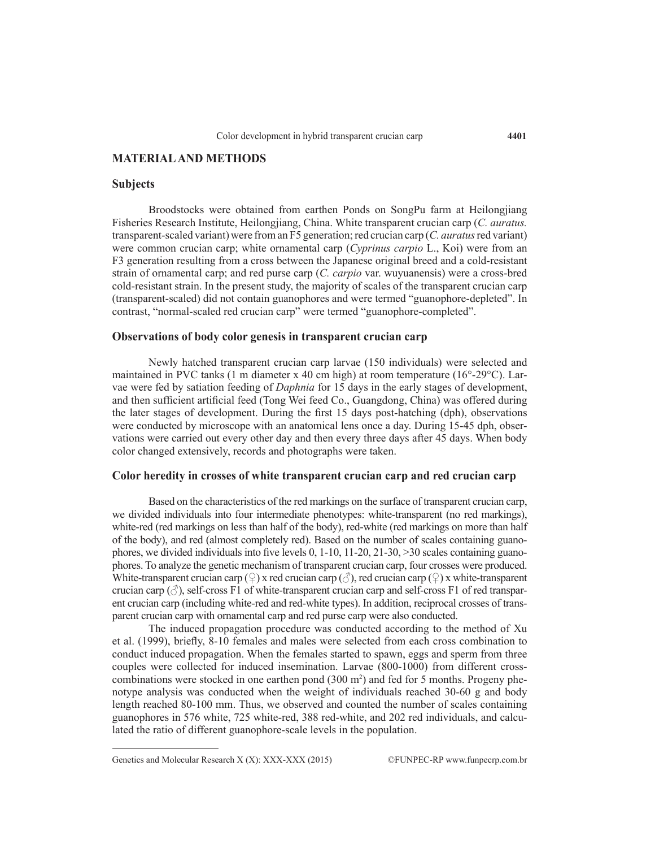# **MATERIAL AND METHODS**

#### **Subjects**

Broodstocks were obtained from earthen Ponds on SongPu farm at Heilongjiang Fisheries Research Institute, Heilongjiang, China. White transparent crucian carp (*C. auratus.*  transparent-scaled variant) were from an F5 generation; red crucian carp (*C. auratus* red variant) were common crucian carp; white ornamental carp (*Cyprinus carpio* L., Koi) were from an F3 generation resulting from a cross between the Japanese original breed and a cold-resistant strain of ornamental carp; and red purse carp (*C. carpio* var. wuyuanensis) were a cross-bred cold-resistant strain. In the present study, the majority of scales of the transparent crucian carp (transparent-scaled) did not contain guanophores and were termed "guanophore-depleted". In contrast, "normal-scaled red crucian carp" were termed "guanophore-completed".

## **Observations of body color genesis in transparent crucian carp**

Newly hatched transparent crucian carp larvae (150 individuals) were selected and maintained in PVC tanks (1 m diameter x 40 cm high) at room temperature (16°-29°C). Larvae were fed by satiation feeding of *Daphnia* for 15 days in the early stages of development, and then sufficient artificial feed (Tong Wei feed Co., Guangdong, China) was offered during the later stages of development. During the first 15 days post-hatching (dph), observations were conducted by microscope with an anatomical lens once a day. During 15-45 dph, observations were carried out every other day and then every three days after 45 days. When body color changed extensively, records and photographs were taken.

# **Color heredity in crosses of white transparent crucian carp and red crucian carp**

Based on the characteristics of the red markings on the surface of transparent crucian carp, we divided individuals into four intermediate phenotypes: white-transparent (no red markings), white-red (red markings on less than half of the body), red-white (red markings on more than half of the body), and red (almost completely red). Based on the number of scales containing guanophores, we divided individuals into five levels 0, 1-10, 11-20, 21-30, >30 scales containing guanophores. To analyze the genetic mechanism of transparent crucian carp, four crosses were produced. White-transparent crucian carp (♀) x red crucian carp (♂), red crucian carp (♀) x white-transparent crucian carp  $(\vec{\sigma})$ , self-cross F1 of white-transparent crucian carp and self-cross F1 of red transparent crucian carp (including white-red and red-white types). In addition, reciprocal crosses of transparent crucian carp with ornamental carp and red purse carp were also conducted.

The induced propagation procedure was conducted according to the method of Xu et al. (1999), briefly, 8-10 females and males were selected from each cross combination to conduct induced propagation. When the females started to spawn, eggs and sperm from three couples were collected for induced insemination. Larvae (800-1000) from different crosscombinations were stocked in one earthen pond  $(300 \text{ m}^2)$  and fed for 5 months. Progeny phenotype analysis was conducted when the weight of individuals reached 30-60 g and body length reached 80-100 mm. Thus, we observed and counted the number of scales containing guanophores in 576 white, 725 white-red, 388 red-white, and 202 red individuals, and calculated the ratio of different guanophore-scale levels in the population.

Genetics and Molecular Research X (X): XXX-XXX (2015) ©FUNPEC-RP www.funpecrp.com.br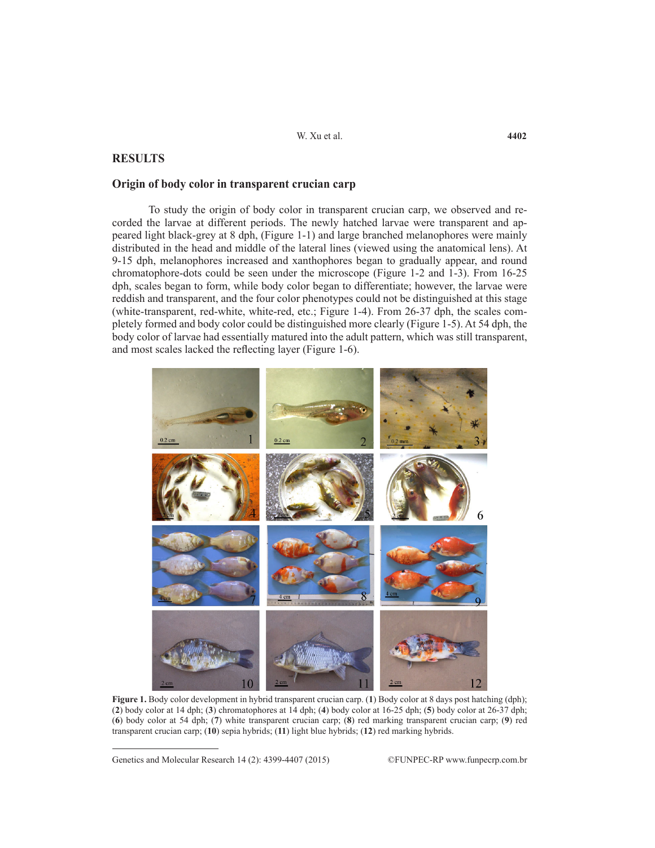# **RESULTS**

## **Origin of body color in transparent crucian carp**

To study the origin of body color in transparent crucian carp, we observed and recorded the larvae at different periods. The newly hatched larvae were transparent and appeared light black-grey at 8 dph, (Figure 1-1) and large branched melanophores were mainly distributed in the head and middle of the lateral lines (viewed using the anatomical lens). At 9-15 dph, melanophores increased and xanthophores began to gradually appear, and round chromatophore-dots could be seen under the microscope (Figure 1-2 and 1-3). From 16-25 dph, scales began to form, while body color began to differentiate; however, the larvae were reddish and transparent, and the four color phenotypes could not be distinguished at this stage (white-transparent, red-white, white-red, etc.; Figure 1-4). From 26-37 dph, the scales completely formed and body color could be distinguished more clearly (Figure 1-5). At 54 dph, the body color of larvae had essentially matured into the adult pattern, which was still transparent, and most scales lacked the reflecting layer (Figure 1-6).



**Figure 1.** Body color development in hybrid transparent crucian carp. (**1**) Body color at 8 days post hatching (dph); (**2**) body color at 14 dph; (**3**) chromatophores at 14 dph; (**4**) body color at 16-25 dph; (**5**) body color at 26-37 dph; (**6**) body color at 54 dph; (**7**) white transparent crucian carp; (**8**) red marking transparent crucian carp; (**9**) red transparent crucian carp; (**10**) sepia hybrids; (**11**) light blue hybrids; (**12**) red marking hybrids.

Genetics and Molecular Research 14 (2): 4399-4407 (2015) ©FUNPEC-RP www.funpecrp.com.br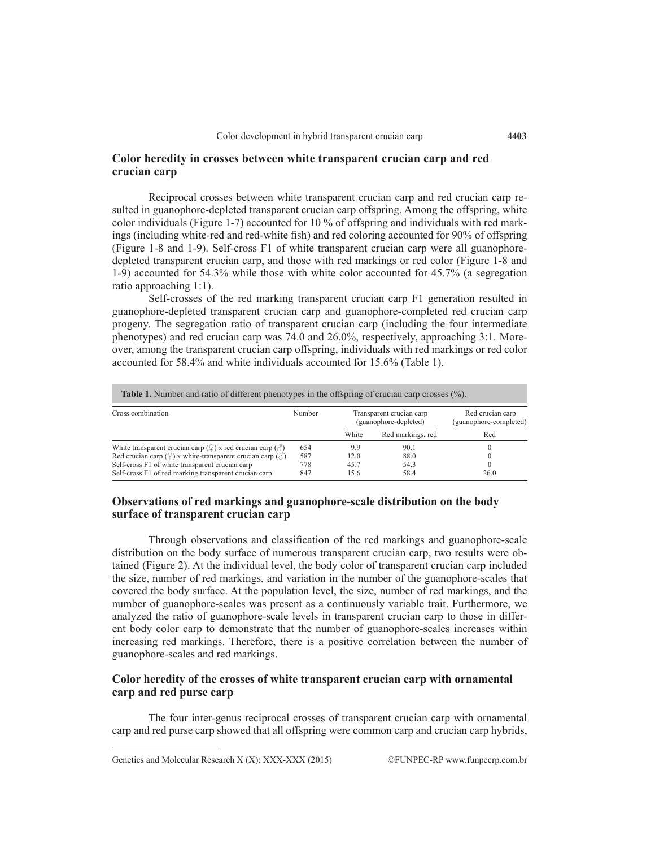## **Color heredity in crosses between white transparent crucian carp and red crucian carp**

Reciprocal crosses between white transparent crucian carp and red crucian carp resulted in guanophore-depleted transparent crucian carp offspring. Among the offspring, white color individuals (Figure 1-7) accounted for 10 % of offspring and individuals with red markings (including white-red and red-white fish) and red coloring accounted for 90% of offspring (Figure 1-8 and 1-9). Self-cross F1 of white transparent crucian carp were all guanophoredepleted transparent crucian carp, and those with red markings or red color (Figure 1-8 and 1-9) accounted for 54.3% while those with white color accounted for 45.7% (a segregation ratio approaching 1:1).

Self-crosses of the red marking transparent crucian carp F1 generation resulted in guanophore-depleted transparent crucian carp and guanophore-completed red crucian carp progeny. The segregation ratio of transparent crucian carp (including the four intermediate phenotypes) and red crucian carp was 74.0 and 26.0%, respectively, approaching 3:1. Moreover, among the transparent crucian carp offspring, individuals with red markings or red color accounted for 58.4% and white individuals accounted for 15.6% (Table 1).

| <b>Table 1.</b> Number and ratio of different phenotypes in the offspring of crucian carp crosses (%).<br>Cross combination | Number | Red crucian carp<br>Transparent crucian carp<br>(guanophore-depleted)<br>(guanophore-completed) |                   |          |
|-----------------------------------------------------------------------------------------------------------------------------|--------|-------------------------------------------------------------------------------------------------|-------------------|----------|
|                                                                                                                             |        | White                                                                                           | Red markings, red | Red      |
| White transparent crucian carp $(\frac{6}{2})$ x red crucian carp $(\frac{3}{2})$                                           | 654    | 99                                                                                              | 90.1              |          |
| Red crucian carp ( $\circ$ ) x white-transparent crucian carp ( $\circ$ )                                                   | 587    | 12.0                                                                                            | 88.0              |          |
| Self-cross F1 of white transparent crucian carp                                                                             | 778    | 45.7                                                                                            | 54.3              | $\Omega$ |
| Self-cross F1 of red marking transparent crucian carp                                                                       | 847    | 15.6                                                                                            | 58.4              | 26.0     |

# **Observations of red markings and guanophore-scale distribution on the body surface of transparent crucian carp**

Through observations and classification of the red markings and guanophore-scale distribution on the body surface of numerous transparent crucian carp, two results were obtained (Figure 2). At the individual level, the body color of transparent crucian carp included the size, number of red markings, and variation in the number of the guanophore-scales that covered the body surface. At the population level, the size, number of red markings, and the number of guanophore-scales was present as a continuously variable trait. Furthermore, we analyzed the ratio of guanophore-scale levels in transparent crucian carp to those in different body color carp to demonstrate that the number of guanophore-scales increases within increasing red markings. Therefore, there is a positive correlation between the number of guanophore-scales and red markings.

## **Color heredity of the crosses of white transparent crucian carp with ornamental carp and red purse carp**

The four inter-genus reciprocal crosses of transparent crucian carp with ornamental carp and red purse carp showed that all offspring were common carp and crucian carp hybrids,

Genetics and Molecular Research X (X): XXX-XXX (2015) ©FUNPEC-RP www.funpecrp.com.br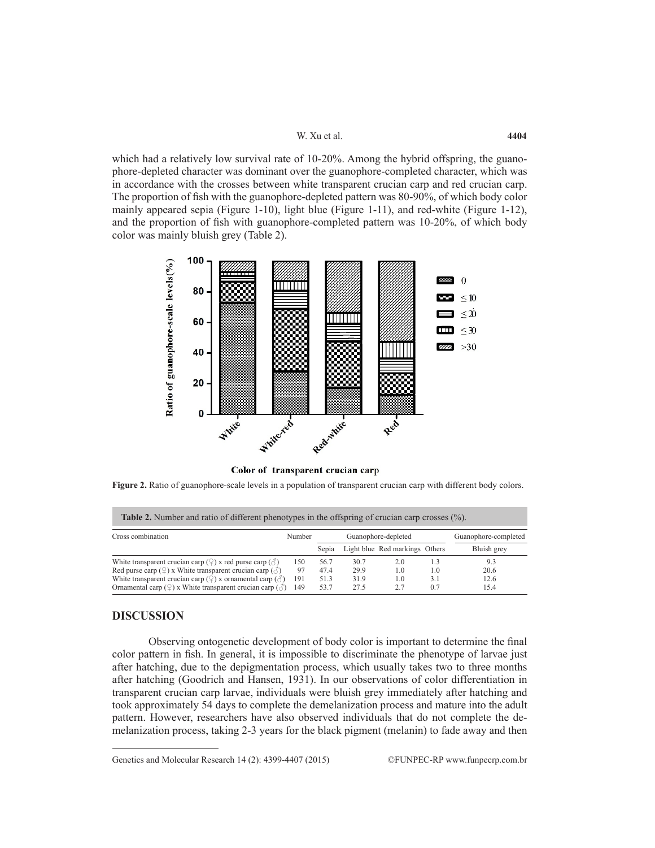which had a relatively low survival rate of 10-20%. Among the hybrid offspring, the guanophore-depleted character was dominant over the guanophore-completed character, which was in accordance with the crosses between white transparent crucian carp and red crucian carp. The proportion of fish with the guanophore-depleted pattern was 80-90%, of which body color mainly appeared sepia (Figure 1-10), light blue (Figure 1-11), and red-white (Figure 1-12), and the proportion of fish with guanophore-completed pattern was 10-20%, of which body color was mainly bluish grey (Table 2).



Color of transparent crucian carp

**Figure 2.** Ratio of guanophore-scale levels in a population of transparent crucian carp with different body colors.

| <b>Table 2.</b> Number and ratio of different phenotypes in the offspring of crucian carp crosses $(\%)$ . |        |                     |      |                                |     |                      |  |  |  |
|------------------------------------------------------------------------------------------------------------|--------|---------------------|------|--------------------------------|-----|----------------------|--|--|--|
| Cross combination                                                                                          | Number | Guanophore-depleted |      |                                |     | Guanophore-completed |  |  |  |
|                                                                                                            |        | Sepia               |      | Light blue Red markings Others |     | Bluish grey          |  |  |  |
| White transparent crucian carp $(\frac{1}{2})$ x red purse carp $(\frac{1}{2})$                            | 150    | 56.7                | 30.7 | 2.0                            | 1.3 | 93                   |  |  |  |
| Red purse carp $(\frac{6}{7})$ x White transparent crucian carp $(\text{or})$                              | 97     | 47.4                | 29.9 | 1.0                            | 1.0 | 20.6                 |  |  |  |
| White transparent crucian carp ( $\mathcal{Q}$ ) x ornamental carp ( $\mathcal{E}$ )                       | 191    | 51.3                | 31.9 | 1.0                            | 3.1 | 12.6                 |  |  |  |
| Ornamental carp $(\mathcal{Q})$ x White transparent crucian carp $(\mathcal{Z})$                           | 149    | 53.7                | 27.5 | 2.7                            | 0.7 | 15.4                 |  |  |  |

## **DISCUSSION**

Observing ontogenetic development of body color is important to determine the final color pattern in fish. In general, it is impossible to discriminate the phenotype of larvae just after hatching, due to the depigmentation process, which usually takes two to three months after hatching (Goodrich and Hansen, 1931). In our observations of color differentiation in transparent crucian carp larvae, individuals were bluish grey immediately after hatching and took approximately 54 days to complete the demelanization process and mature into the adult pattern. However, researchers have also observed individuals that do not complete the demelanization process, taking 2-3 years for the black pigment (melanin) to fade away and then

Genetics and Molecular Research 14 (2): 4399-4407 (2015) ©FUNPEC-RP www.funpecrp.com.br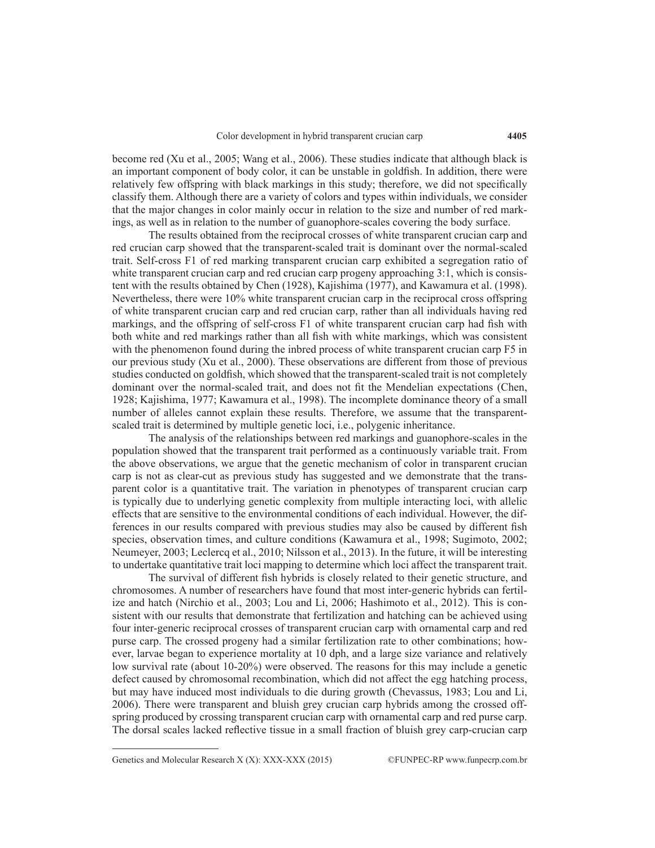become red (Xu et al., 2005; Wang et al., 2006). These studies indicate that although black is an important component of body color, it can be unstable in goldfish. In addition, there were relatively few offspring with black markings in this study; therefore, we did not specifically classify them. Although there are a variety of colors and types within individuals, we consider that the major changes in color mainly occur in relation to the size and number of red markings, as well as in relation to the number of guanophore-scales covering the body surface.

The results obtained from the reciprocal crosses of white transparent crucian carp and red crucian carp showed that the transparent-scaled trait is dominant over the normal-scaled trait. Self-cross F1 of red marking transparent crucian carp exhibited a segregation ratio of white transparent crucian carp and red crucian carp progeny approaching 3:1, which is consistent with the results obtained by Chen (1928), Kajishima (1977), and Kawamura et al. (1998). Nevertheless, there were 10% white transparent crucian carp in the reciprocal cross offspring of white transparent crucian carp and red crucian carp, rather than all individuals having red markings, and the offspring of self-cross F1 of white transparent crucian carp had fish with both white and red markings rather than all fish with white markings, which was consistent with the phenomenon found during the inbred process of white transparent crucian carp F5 in our previous study (Xu et al., 2000). These observations are different from those of previous studies conducted on goldfish, which showed that the transparent-scaled trait is not completely dominant over the normal-scaled trait, and does not fit the Mendelian expectations (Chen, 1928; Kajishima, 1977; Kawamura et al., 1998). The incomplete dominance theory of a small number of alleles cannot explain these results. Therefore, we assume that the transparentscaled trait is determined by multiple genetic loci, i.e., polygenic inheritance.

The analysis of the relationships between red markings and guanophore-scales in the population showed that the transparent trait performed as a continuously variable trait. From the above observations, we argue that the genetic mechanism of color in transparent crucian carp is not as clear-cut as previous study has suggested and we demonstrate that the transparent color is a quantitative trait. The variation in phenotypes of transparent crucian carp is typically due to underlying genetic complexity from multiple interacting loci, with allelic effects that are sensitive to the environmental conditions of each individual. However, the differences in our results compared with previous studies may also be caused by different fish species, observation times, and culture conditions (Kawamura et al., 1998; Sugimoto, 2002; Neumeyer, 2003; Leclercq et al., 2010; Nilsson et al., 2013). In the future, it will be interesting to undertake quantitative trait loci mapping to determine which loci affect the transparent trait.

The survival of different fish hybrids is closely related to their genetic structure, and chromosomes. A number of researchers have found that most inter-generic hybrids can fertilize and hatch (Nirchio et al., 2003; Lou and Li, 2006; Hashimoto et al., 2012). This is consistent with our results that demonstrate that fertilization and hatching can be achieved using four inter-generic reciprocal crosses of transparent crucian carp with ornamental carp and red purse carp. The crossed progeny had a similar fertilization rate to other combinations; however, larvae began to experience mortality at 10 dph, and a large size variance and relatively low survival rate (about 10-20%) were observed. The reasons for this may include a genetic defect caused by chromosomal recombination, which did not affect the egg hatching process, but may have induced most individuals to die during growth (Chevassus, 1983; Lou and Li, 2006). There were transparent and bluish grey crucian carp hybrids among the crossed offspring produced by crossing transparent crucian carp with ornamental carp and red purse carp. The dorsal scales lacked reflective tissue in a small fraction of bluish grey carp-crucian carp

Genetics and Molecular Research X (X): XXX-XXX (2015) ©FUNPEC-RP www.funpecrp.com.br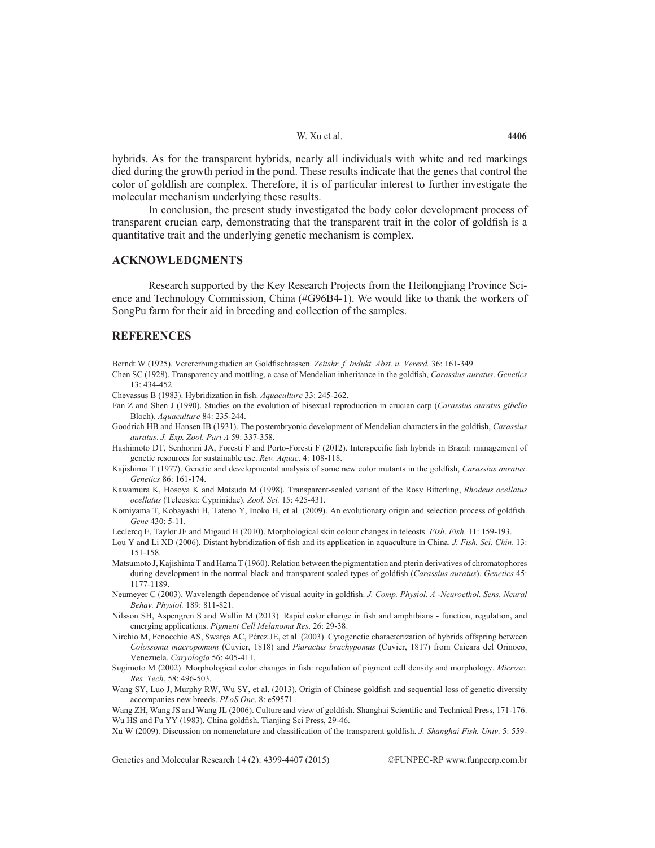hybrids. As for the transparent hybrids, nearly all individuals with white and red markings died during the growth period in the pond. These results indicate that the genes that control the color of goldfish are complex. Therefore, it is of particular interest to further investigate the molecular mechanism underlying these results.

In conclusion, the present study investigated the body color development process of transparent crucian carp, demonstrating that the transparent trait in the color of goldfish is a quantitative trait and the underlying genetic mechanism is complex.

## **ACKNOWLEDGMENTS**

Research supported by the Key Research Projects from the Heilongjiang Province Science and Technology Commission, China (#G96B4-1). We would like to thank the workers of SongPu farm for their aid in breeding and collection of the samples.

## **REFERENCES**

Berndt W (1925). Verererbungstudien an Goldfischrassen. *Zeitshr. f. Indukt. Abst. u. Vererd.* 36: 161-349.

Chen SC (1928). Transparency and mottling, a case of Mendelian inheritance in the goldfish, *Carassius auratus*. *Genetics* 13: 434-452.

Chevassus B (1983). Hybridization in fish. *Aquaculture* 33: 245-262.

Fan Z and Shen J (1990). Studies on the evolution of bisexual reproduction in crucian carp (*Carassius auratus gibelio* Bloch). *Aquaculture* 84: 235-244.

Goodrich HB and Hansen IB (1931). The postembryonic development of Mendelian characters in the goldfish, *Carassius auratus*. *J. Exp. Zool. Part A* 59: 337-358.

Hashimoto DT, Senhorini JA, Foresti F and Porto-Foresti F (2012). Interspecific fish hybrids in Brazil: management of genetic resources for sustainable use. *Rev. Aquac*. 4: 108-118.

Kajishima T (1977). Genetic and developmental analysis of some new color mutants in the goldfish, *Carassius auratus*. *Genetics* 86: 161-174.

Kawamura K, Hosoya K and Matsuda M (1998). Transparent-scaled variant of the Rosy Bitterling, *Rhodeus ocellatus ocellatus* (Teleostei: Cyprinidae). *Zool. Sci.* 15: 425-431.

Komiyama T, Kobayashi H, Tateno Y, Inoko H, et al. (2009). An evolutionary origin and selection process of goldfish. *Gene* 430: 5-11.

Leclercq E, Taylor JF and Migaud H (2010). Morphological skin colour changes in teleosts. *Fish. Fish.* 11: 159-193.

- Lou Y and Li XD (2006). Distant hybridization of fish and its application in aquaculture in China. *J. Fish. Sci. Chin*. 13: 151-158.
- Matsumoto J, Kajishima T and Hama T (1960). Relation between the pigmentation and pterin derivatives of chromatophores during development in the normal black and transparent scaled types of goldfish (*Carassius auratus*). *Genetics* 45: 1177-1189.
- Neumeyer C (2003). Wavelength dependence of visual acuity in goldfish. *J. Comp. Physiol. A -Neuroethol. Sens. Neural Behav. Physiol.* 189: 811-821.
- Nilsson SH, Aspengren S and Wallin M (2013). Rapid color change in fish and amphibians function, regulation, and emerging applications. *Pigment Cell Melanoma Res*. 26: 29-38.
- Nirchio M, Fenocchio AS, Swarça AC, Pérez JE, et al. (2003). Cytogenetic characterization of hybrids offspring between *Colossoma macropomum* (Cuvier, 1818) and *Piaractus brachypomus* (Cuvier, 1817) from Caicara del Orinoco, Venezuela. *Caryologia* 56: 405-411.
- Sugimoto M (2002). Morphological color changes in fish: regulation of pigment cell density and morphology. *Microsc. Res. Tech*. 58: 496-503.
- Wang SY, Luo J, Murphy RW, Wu SY, et al. (2013). Origin of Chinese goldfish and sequential loss of genetic diversity accompanies new breeds. *PLoS One*. 8: e59571.

Wang ZH, Wang JS and Wang JL (2006). Culture and view of goldfish. Shanghai Scientific and Technical Press, 171-176. Wu HS and Fu YY (1983). China goldfish. Tianjing Sci Press, 29-46.

Xu W (2009). Discussion on nomenclature and classification of the transparent goldfish. *J. Shanghai Fish. Univ*. 5: 559-

Genetics and Molecular Research 14 (2): 4399-4407 (2015) ©FUNPEC-RP www.funpecrp.com.br